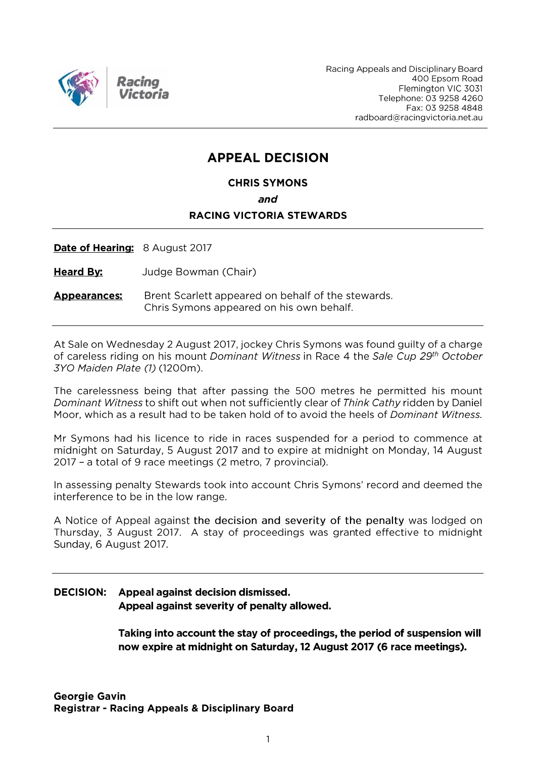

Racing Appeals and Disciplinary Board 400 Epsom Road Flemington VIC 3031 Telephone: 03 9258 4260 Fax: 03 9258 4848 radboard@racingvictoria.net.au

## **APPEAL DECISION**

**CHRIS SYMONS** 

and

#### **RACING VICTORIA STEWARDS**

Date of Hearing: 8 August 2017

**Heard By:** Judge Bowman (Chair)

Brent Scarlett appeared on behalf of the stewards. **Appearances:** Chris Symons appeared on his own behalf.

At Sale on Wednesday 2 August 2017, jockey Chris Symons was found guilty of a charge of careless riding on his mount Dominant Witness in Race 4 the Sale Cup 29<sup>th</sup> October 3YO Maiden Plate (1) (1200m).

The carelessness being that after passing the 500 metres he permitted his mount Dominant Witness to shift out when not sufficiently clear of Think Cathy ridden by Daniel Moor, which as a result had to be taken hold of to avoid the heels of Dominant Witness.

Mr Symons had his licence to ride in races suspended for a period to commence at midnight on Saturday, 5 August 2017 and to expire at midnight on Monday, 14 August 2017 - a total of 9 race meetings (2 metro, 7 provincial).

In assessing penalty Stewards took into account Chris Symons' record and deemed the interference to be in the low range.

A Notice of Appeal against the decision and severity of the penalty was lodged on Thursday, 3 August 2017. A stay of proceedings was granted effective to midnight Sunday, 6 August 2017.

#### **DECISION:** Appeal against decision dismissed. Appeal against severity of penalty allowed.

Taking into account the stay of proceedings, the period of suspension will now expire at midnight on Saturday, 12 August 2017 (6 race meetings).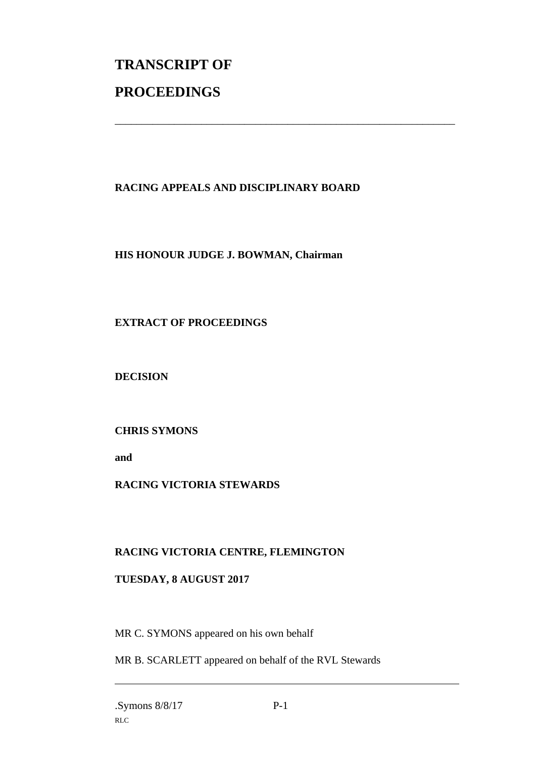# **TRANSCRIPT OF PROCEEDINGS**

### **RACING APPEALS AND DISCIPLINARY BOARD**

\_\_\_\_\_\_\_\_\_\_\_\_\_\_\_\_\_\_\_\_\_\_\_\_\_\_\_\_\_\_\_\_\_\_\_\_\_\_\_\_\_\_\_\_\_\_\_\_\_\_\_\_\_\_\_\_\_\_\_\_\_\_\_

#### **HIS HONOUR JUDGE J. BOWMAN, Chairman**

#### **EXTRACT OF PROCEEDINGS**

**DECISION**

#### **CHRIS SYMONS**

**and** 

#### **RACING VICTORIA STEWARDS**

#### **RACING VICTORIA CENTRE, FLEMINGTON**

#### **TUESDAY, 8 AUGUST 2017**

MR C. SYMONS appeared on his own behalf

MR B. SCARLETT appeared on behalf of the RVL Stewards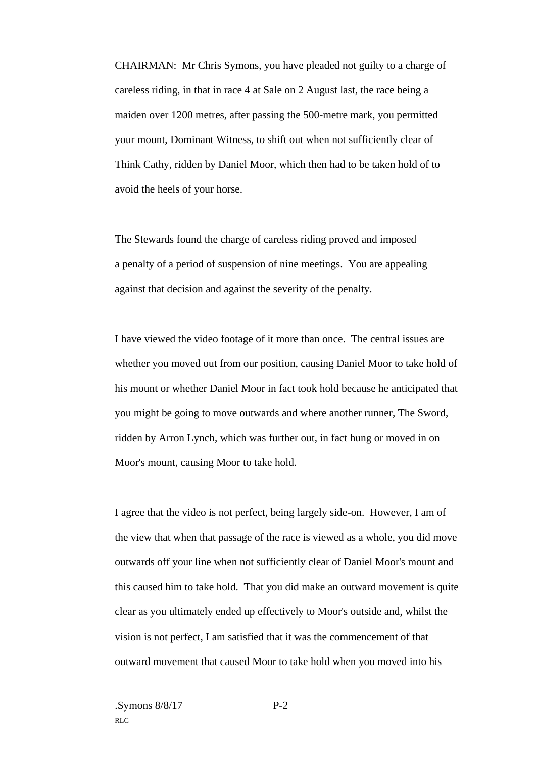CHAIRMAN: Mr Chris Symons, you have pleaded not guilty to a charge of careless riding, in that in race 4 at Sale on 2 August last, the race being a maiden over 1200 metres, after passing the 500-metre mark, you permitted your mount, Dominant Witness, to shift out when not sufficiently clear of Think Cathy, ridden by Daniel Moor, which then had to be taken hold of to avoid the heels of your horse.

The Stewards found the charge of careless riding proved and imposed a penalty of a period of suspension of nine meetings. You are appealing against that decision and against the severity of the penalty.

I have viewed the video footage of it more than once. The central issues are whether you moved out from our position, causing Daniel Moor to take hold of his mount or whether Daniel Moor in fact took hold because he anticipated that you might be going to move outwards and where another runner, The Sword, ridden by Arron Lynch, which was further out, in fact hung or moved in on Moor's mount, causing Moor to take hold.

I agree that the video is not perfect, being largely side-on. However, I am of the view that when that passage of the race is viewed as a whole, you did move outwards off your line when not sufficiently clear of Daniel Moor's mount and this caused him to take hold. That you did make an outward movement is quite clear as you ultimately ended up effectively to Moor's outside and, whilst the vision is not perfect, I am satisfied that it was the commencement of that outward movement that caused Moor to take hold when you moved into his